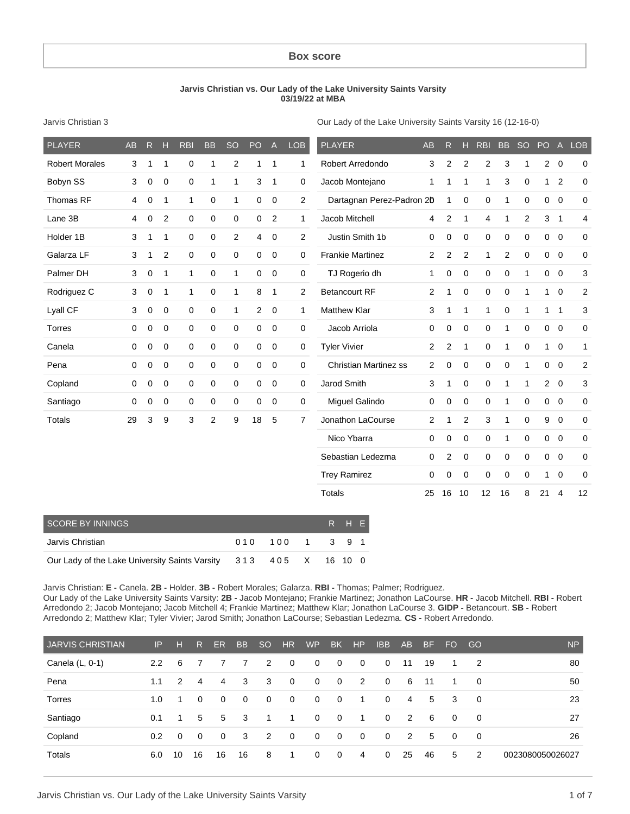#### **Box score**

#### **Jarvis Christian vs. Our Lady of the Lake University Saints Varsity 03/19/22 at MBA**

Jarvis Christian 3

Our Lady of the Lake University Saints Varsity 16 (12-16-0)

| <b>PLAYER</b>         | AB | $\mathsf{R}$ | H              | <b>RBI</b>   | <b>BB</b>    | SO             | PO | $\mathsf{A}$   | <b>LOB</b>     | <b>PLAYER</b>                | <b>AB</b>      | R              | н              | <b>RBI</b>          | <b>BB</b>      | <b>SO</b>    | PO           | $\overline{A}$ | <b>LOB</b>  |
|-----------------------|----|--------------|----------------|--------------|--------------|----------------|----|----------------|----------------|------------------------------|----------------|----------------|----------------|---------------------|----------------|--------------|--------------|----------------|-------------|
| <b>Robert Morales</b> | 3  | 1            | $\mathbf{1}$   | 0            | 1            | $\overline{2}$ | 1  | $\mathbf{1}$   | $\mathbf{1}$   | Robert Arredondo             | 3              | $\overline{c}$ | $\mathbf{2}$   | $\overline{2}$      | 3              | 1            |              | $2\quad 0$     | 0           |
| Bobyn SS              | 3  | $\mathbf 0$  | $\mathbf 0$    | $\mathbf 0$  | $\mathbf{1}$ | 1              | 3  | $\mathbf{1}$   | 0              | Jacob Montejano              | 1              | 1              | 1              | 1                   | 3              | 0            | 1            | $\overline{2}$ | $\mathbf 0$ |
| Thomas RF             | 4  | $\mathbf 0$  | $\mathbf 1$    | $\mathbf{1}$ | 0            | $\mathbf{1}$   | 0  | 0              | $\overline{2}$ | Dartagnan Perez-Padron 20    |                | 1              | $\mathbf 0$    | $\mathbf 0$         | 1              | 0            | $\mathbf 0$  | $\mathbf 0$    | 0           |
| Lane 3B               | 4  | 0            | 2              | $\mathbf 0$  | 0            | $\mathbf 0$    | 0  | $\overline{2}$ | 1              | Jacob Mitchell               | 4              | $\overline{2}$ | $\mathbf{1}$   | 4                   | 1              | 2            | 3            | $\overline{1}$ | 4           |
| Holder 1B             | 3  | 1            | $\mathbf{1}$   | 0            | 0            | $\overline{2}$ | 4  | $\mathbf 0$    | $\overline{2}$ | Justin Smith 1b              | 0              | 0              | 0              | 0                   | 0              | $\mathbf 0$  | $\mathbf 0$  | $\mathbf 0$    | 0           |
| Galarza LF            | 3  | 1            | $\overline{2}$ | $\mathbf 0$  | 0            | 0              | 0  | $\mathbf 0$    | 0              | <b>Frankie Martinez</b>      | $\overline{2}$ | $\overline{2}$ | 2              | $\mathbf{1}$        | $\overline{c}$ | $\mathbf 0$  | $\mathbf 0$  | $\overline{0}$ | 0           |
| Palmer DH             | 3  | $\mathbf 0$  | $\mathbf{1}$   | $\mathbf{1}$ | 0            | $\mathbf{1}$   | 0  | $\mathbf 0$    | $\mathbf 0$    | TJ Rogerio dh                | $\mathbf{1}$   | $\mathbf 0$    | $\mathbf 0$    | $\mathbf 0$         | 0              | $\mathbf{1}$ | $\mathbf 0$  | $\overline{0}$ | 3           |
| Rodriguez C           | 3  | 0            | $\mathbf{1}$   | $\mathbf{1}$ | 0            | 1              | 8  | $\mathbf{1}$   | $\overline{2}$ | <b>Betancourt RF</b>         | $\overline{2}$ | 1              | 0              | 0                   | $\mathbf 0$    | 1            | $\mathbf{1}$ | $\overline{0}$ | 2           |
| Lyall CF              | 3  | $\mathbf 0$  | 0              | 0            | 0            | 1              | 2  | $\mathbf 0$    | $\mathbf{1}$   | <b>Matthew Klar</b>          | 3              | 1              | $\mathbf{1}$   | $\mathbf{1}$        | $\mathbf 0$    | $\mathbf{1}$ | $\mathbf{1}$ | $\overline{1}$ | 3           |
| <b>Torres</b>         | 0  | $\mathbf 0$  | 0              | 0            | $\mathbf 0$  | $\mathbf 0$    | 0  | $\mathbf 0$    | $\mathbf 0$    | Jacob Arriola                | 0              | 0              | $\mathbf 0$    | $\mathbf 0$         | 1              | 0            | $\mathbf 0$  | $\overline{0}$ | 0           |
| Canela                | 0  | $\Omega$     | $\mathbf 0$    | $\mathbf 0$  | $\mathbf 0$  | $\mathsf 0$    | 0  | $\mathbf 0$    | 0              | <b>Tyler Vivier</b>          | $\overline{2}$ | $\overline{2}$ | $\mathbf{1}$   | $\mathbf 0$         | 1              | $\mathbf 0$  | $\mathbf{1}$ | $\overline{0}$ | 1           |
| Pena                  | 0  | $\mathbf 0$  | $\mathbf 0$    | $\mathbf 0$  | 0            | $\mathbf 0$    | 0  | $\mathbf 0$    | $\mathbf 0$    | <b>Christian Martinez ss</b> | $\overline{2}$ | $\mathbf 0$    | $\mathbf 0$    | $\mathbf 0$         | 0              | $\mathbf{1}$ | $\mathbf 0$  | $\overline{0}$ | 2           |
| Copland               | 0  | $\mathbf 0$  | 0              | 0            | $\mathbf 0$  | $\mathsf 0$    | 0  | $\mathbf 0$    | $\Omega$       | Jarod Smith                  | 3              | 1              | $\mathbf 0$    | $\mathbf 0$         | 1              | $\mathbf{1}$ | $2^{\circ}$  | $\overline{0}$ | 3           |
| Santiago              | 0  | 0            | $\mathbf 0$    | $\mathbf 0$  | 0            | $\mathsf 0$    | 0  | 0              | 0              | Miguel Galindo               | 0              | 0              | 0              | $\mathsf{O}\xspace$ | 1              | $\mathbf 0$  | $\mathbf 0$  | $\overline{0}$ | $\mathbf 0$ |
| <b>Totals</b>         | 29 | 3            | 9              | 3            | 2            | 9              | 18 | 5              | $\overline{7}$ | Jonathon LaCourse            | $\overline{c}$ |                | $\overline{2}$ | 3                   | 1              | 0            | 9            | $\mathbf 0$    | 0           |
|                       |    |              |                |              |              |                |    |                |                | Nico Ybarra                  | 0              | 0              | 0              | $\mathsf{O}\xspace$ | 1              | $\mathbf 0$  | $\mathbf{0}$ | $\overline{0}$ | 0           |
|                       |    |              |                |              |              |                |    |                |                | Sebastian Ledezma            | $\mathbf 0$    | 2              | $\mathbf 0$    | $\mathbf 0$         | $\mathbf 0$    | $\mathbf 0$  | $\mathbf{0}$ | $\overline{0}$ | 0           |
|                       |    |              |                |              |              |                |    |                |                | <b>Trey Ramirez</b>          | 0              | $\mathbf 0$    | $\mathbf 0$    | $\mathbf 0$         | $\mathbf 0$    | $\mathbf 0$  | $\mathbf{1}$ | $\mathbf 0$    | 0           |
|                       |    |              |                |              |              |                |    |                |                | <b>Totals</b>                | 25             | 16             | 10             | 12                  | 16             | 8            | 21           | $\overline{4}$ | 12          |
|                       |    |              |                |              |              |                |    |                |                |                              |                |                |                |                     |                |              |              |                |             |

| <b>SCORE BY INNINGS</b>                                          |                 |  | RHE |  |
|------------------------------------------------------------------|-----------------|--|-----|--|
| Jarvis Christian                                                 | 010 100 1 3 9 1 |  |     |  |
| Our Lady of the Lake University Saints Varsity 313 405 X 16 10 0 |                 |  |     |  |

Jarvis Christian: **E -** Canela. **2B -** Holder. **3B -** Robert Morales; Galarza. **RBI -** Thomas; Palmer; Rodriguez. Our Lady of the Lake University Saints Varsity: **2B -** Jacob Montejano; Frankie Martinez; Jonathon LaCourse. **HR -** Jacob Mitchell. **RBI -** Robert Arredondo 2; Jacob Montejano; Jacob Mitchell 4; Frankie Martinez; Matthew Klar; Jonathon LaCourse 3. **GIDP -** Betancourt. **SB -** Robert Arredondo 2; Matthew Klar; Tyler Vivier; Jarod Smith; Jonathon LaCourse; Sebastian Ledezma. **CS -** Robert Arredondo.

| <b>JARVIS CHRISTIAN</b> | IP               | н        | R        | <b>ER</b>      | <b>BB</b>      | SO <sub>-</sub> | <b>HR</b>      | <b>WP</b>   | <b>BK</b>      | HP          | <b>IBB</b>   | AB | <b>BF</b> | FO.      | GO.                     | <b>NP</b>        |
|-------------------------|------------------|----------|----------|----------------|----------------|-----------------|----------------|-------------|----------------|-------------|--------------|----|-----------|----------|-------------------------|------------------|
| Canela $(L, 0-1)$       | $2.2^{\circ}$    | 6        |          |                | 7              | 2               | $\overline{0}$ | 0           | $\mathbf{0}$   | 0           | $\mathbf{0}$ | 11 | 19        |          | -2                      | 80               |
| Pena                    | 1.1              | 2        | 4        | $\overline{4}$ | 3              | 3               | $\mathbf 0$    | $\mathbf 0$ | $\mathbf{0}$   | 2           | $\Omega$     | 6  | 11        |          | $\Omega$                | 50               |
| Torres                  | 1.0              |          | $\Omega$ | $\Omega$       | $\overline{0}$ | $\mathbf 0$     | $\overline{0}$ | $\mathbf 0$ | $\overline{0}$ | 1           | $\Omega$     | 4  | 5         | 3        | $\overline{\mathbf{0}}$ | 23               |
| Santiago                | 0.1              |          | 5        | 5              | -3             |                 |                | $\Omega$    | $\overline{0}$ | 1           | $\Omega$     | 2  | 6         | $\Omega$ | $\Omega$                | 27               |
| Copland                 | 0.2 <sub>0</sub> | $\Omega$ | $\Omega$ | $\Omega$       | 3              | 2               | 0              | $\Omega$    | $\Omega$       | $\mathbf 0$ | $\Omega$     | 2  | 5         | $\Omega$ | - 0                     | 26               |
| Totals                  | 6.0              | 10       | 16       | 16             | 16             | 8               | 1              | $\Omega$    | $\mathbf{0}$   | 4           | $\Omega$     | 25 | 46        | 5        | 2                       | 0023080050026027 |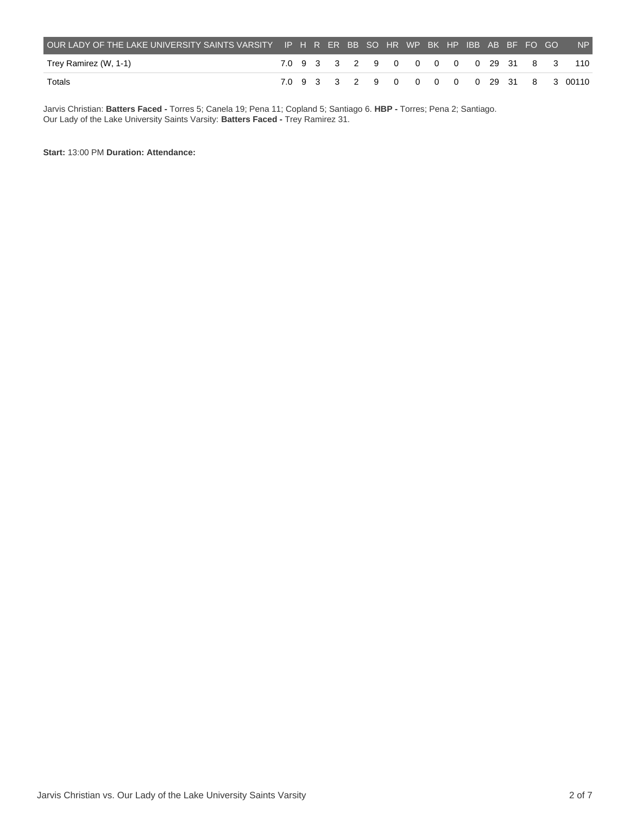| OUR LADY OF THE LAKE UNIVERSITY SAINTS VARSITY IP H R ER BB SO HR WP BK HP IBB AB BF FO GO |  |  |  |  |  |  |  | NP                                      |
|--------------------------------------------------------------------------------------------|--|--|--|--|--|--|--|-----------------------------------------|
| Trey Ramirez (W, 1-1)                                                                      |  |  |  |  |  |  |  | 7.0 9 3 3 2 9 0 0 0 0 0 29 31 8 3 110   |
| Totals                                                                                     |  |  |  |  |  |  |  | 7.0 9 3 3 2 9 0 0 0 0 0 29 31 8 3 00110 |

Jarvis Christian: **Batters Faced -** Torres 5; Canela 19; Pena 11; Copland 5; Santiago 6. **HBP -** Torres; Pena 2; Santiago. Our Lady of the Lake University Saints Varsity: **Batters Faced -** Trey Ramirez 31.

**Start:** 13:00 PM **Duration: Attendance:**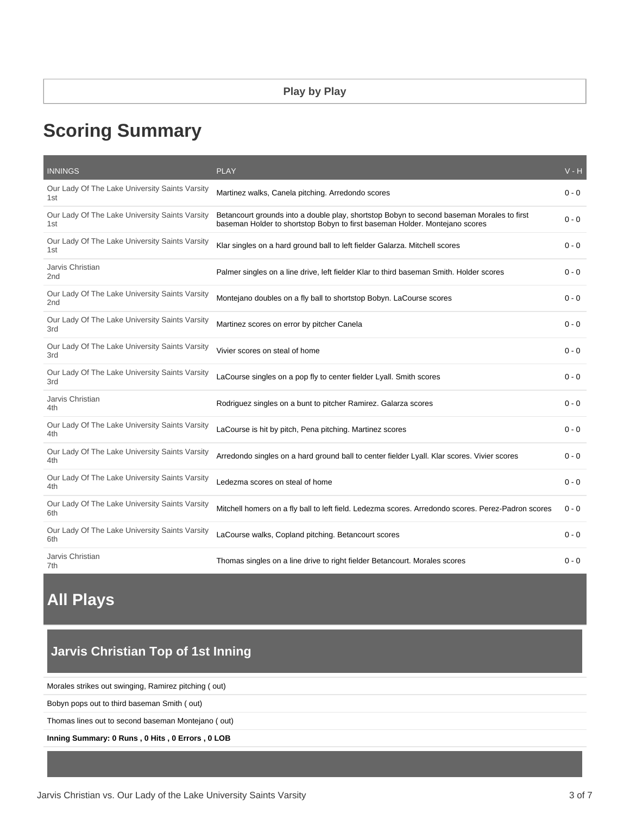# **Scoring Summary**

| <b>INNINGS</b>                                                    | <b>PLAY</b>                                                                                                                                                              | $V - H$ |
|-------------------------------------------------------------------|--------------------------------------------------------------------------------------------------------------------------------------------------------------------------|---------|
| Our Lady Of The Lake University Saints Varsity<br>1st             | Martinez walks, Canela pitching. Arredondo scores                                                                                                                        | $0 - 0$ |
| Our Lady Of The Lake University Saints Varsity<br>1st             | Betancourt grounds into a double play, shortstop Bobyn to second baseman Morales to first<br>baseman Holder to shortstop Bobyn to first baseman Holder. Montejano scores | $0 - 0$ |
| Our Lady Of The Lake University Saints Varsity<br>1st             | Klar singles on a hard ground ball to left fielder Galarza. Mitchell scores                                                                                              | $0 - 0$ |
| Jarvis Christian<br>2 <sub>nd</sub>                               | Palmer singles on a line drive, left fielder Klar to third baseman Smith. Holder scores                                                                                  | $0 - 0$ |
| Our Lady Of The Lake University Saints Varsity<br>2 <sub>nd</sub> | Montejano doubles on a fly ball to shortstop Bobyn. LaCourse scores                                                                                                      | $0 - 0$ |
| Our Lady Of The Lake University Saints Varsity<br>3rd             | Martinez scores on error by pitcher Canela                                                                                                                               | $0 - 0$ |
| Our Lady Of The Lake University Saints Varsity<br>3rd             | Vivier scores on steal of home                                                                                                                                           | $0 - 0$ |
| Our Lady Of The Lake University Saints Varsity<br>3rd             | LaCourse singles on a pop fly to center fielder Lyall. Smith scores                                                                                                      | $0 - 0$ |
| Jarvis Christian<br>4th                                           | Rodriguez singles on a bunt to pitcher Ramirez. Galarza scores                                                                                                           | $0 - 0$ |
| Our Lady Of The Lake University Saints Varsity<br>4th             | LaCourse is hit by pitch, Pena pitching. Martinez scores                                                                                                                 | $0 - 0$ |
| Our Lady Of The Lake University Saints Varsity<br>4th             | Arredondo singles on a hard ground ball to center fielder Lyall. Klar scores. Vivier scores                                                                              | $0 - 0$ |
| Our Lady Of The Lake University Saints Varsity<br>4th             | Ledezma scores on steal of home                                                                                                                                          | $0 - 0$ |
| Our Lady Of The Lake University Saints Varsity<br>6th             | Mitchell homers on a fly ball to left field. Ledezma scores. Arredondo scores. Perez-Padron scores                                                                       | $0 - 0$ |
| Our Lady Of The Lake University Saints Varsity<br>6th             | LaCourse walks, Copland pitching. Betancourt scores                                                                                                                      | $0 - 0$ |
| Jarvis Christian<br>7th                                           | Thomas singles on a line drive to right fielder Betancourt. Morales scores                                                                                               | $0 - 0$ |

# **All Plays**

### **Jarvis Christian Top of 1st Inning**

Morales strikes out swinging, Ramirez pitching ( out)

Bobyn pops out to third baseman Smith ( out)

Thomas lines out to second baseman Montejano ( out)

**Inning Summary: 0 Runs , 0 Hits , 0 Errors , 0 LOB**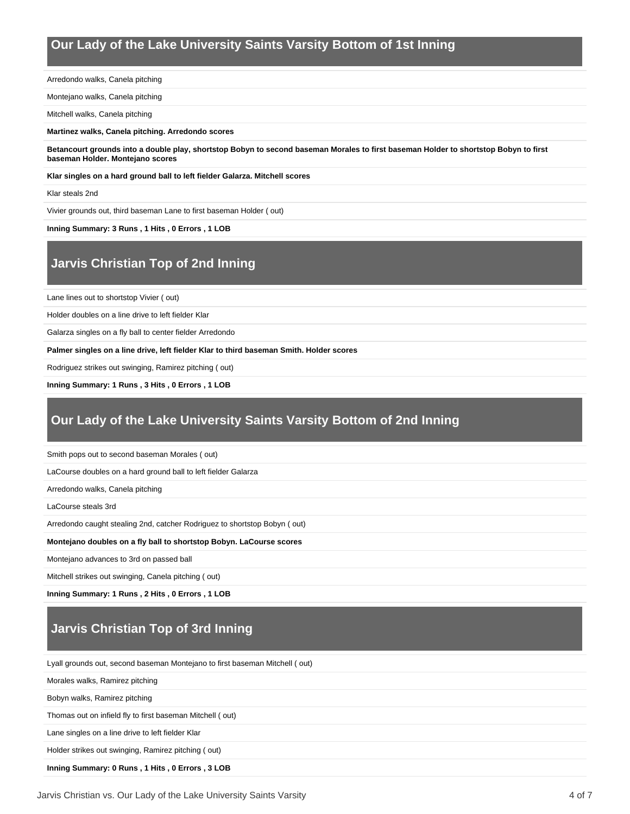### **Our Lady of the Lake University Saints Varsity Bottom of 1st Inning**

Arredondo walks, Canela pitching

Montejano walks, Canela pitching

Mitchell walks, Canela pitching

#### **Martinez walks, Canela pitching. Arredondo scores**

**Betancourt grounds into a double play, shortstop Bobyn to second baseman Morales to first baseman Holder to shortstop Bobyn to first baseman Holder. Montejano scores**

**Klar singles on a hard ground ball to left fielder Galarza. Mitchell scores**

#### Klar steals 2nd

Vivier grounds out, third baseman Lane to first baseman Holder ( out)

#### **Inning Summary: 3 Runs , 1 Hits , 0 Errors , 1 LOB**

## **Jarvis Christian Top of 2nd Inning**

Lane lines out to shortstop Vivier ( out)

Holder doubles on a line drive to left fielder Klar

Galarza singles on a fly ball to center fielder Arredondo

**Palmer singles on a line drive, left fielder Klar to third baseman Smith. Holder scores**

Rodriguez strikes out swinging, Ramirez pitching ( out)

**Inning Summary: 1 Runs , 3 Hits , 0 Errors , 1 LOB**

### **Our Lady of the Lake University Saints Varsity Bottom of 2nd Inning**

Smith pops out to second baseman Morales ( out)

LaCourse doubles on a hard ground ball to left fielder Galarza

Arredondo walks, Canela pitching

LaCourse steals 3rd

Arredondo caught stealing 2nd, catcher Rodriguez to shortstop Bobyn ( out)

#### **Montejano doubles on a fly ball to shortstop Bobyn. LaCourse scores**

Montejano advances to 3rd on passed ball

Mitchell strikes out swinging, Canela pitching ( out)

**Inning Summary: 1 Runs , 2 Hits , 0 Errors , 1 LOB**

### **Jarvis Christian Top of 3rd Inning**

Lyall grounds out, second baseman Montejano to first baseman Mitchell ( out)

Morales walks, Ramirez pitching

Bobyn walks, Ramirez pitching

Thomas out on infield fly to first baseman Mitchell ( out)

Lane singles on a line drive to left fielder Klar

Holder strikes out swinging, Ramirez pitching ( out)

**Inning Summary: 0 Runs , 1 Hits , 0 Errors , 3 LOB**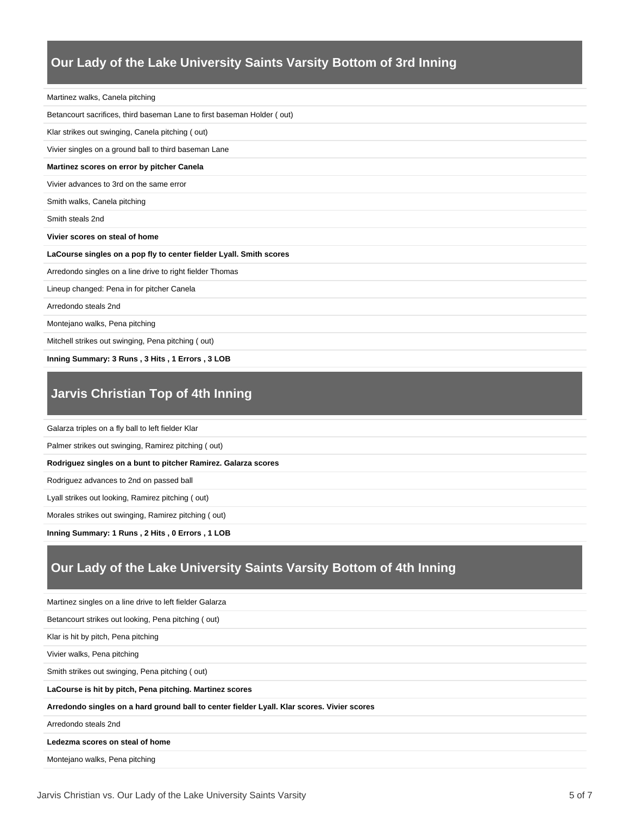#### **Our Lady of the Lake University Saints Varsity Bottom of 3rd Inning**

| Martinez walks, Canela pitching                                         |
|-------------------------------------------------------------------------|
| Betancourt sacrifices, third baseman Lane to first baseman Holder (out) |
| Klar strikes out swinging, Canela pitching (out)                        |
| Vivier singles on a ground ball to third baseman Lane                   |
| Martinez scores on error by pitcher Canela                              |
| Vivier advances to 3rd on the same error                                |
| Smith walks, Canela pitching                                            |
| Smith steals 2nd                                                        |
| Vivier scores on steal of home                                          |
| LaCourse singles on a pop fly to center fielder Lyall. Smith scores     |
| Arredondo singles on a line drive to right fielder Thomas               |
| Lineup changed: Pena in for pitcher Canela                              |
| Arredondo steals 2nd                                                    |
| Montejano walks, Pena pitching                                          |
| Mitchell strikes out swinging, Pena pitching (out)                      |
|                                                                         |

### **Jarvis Christian Top of 4th Inning**

Galarza triples on a fly ball to left fielder Klar

Palmer strikes out swinging, Ramirez pitching ( out)

**Rodriguez singles on a bunt to pitcher Ramirez. Galarza scores**

Rodriguez advances to 2nd on passed ball

Lyall strikes out looking, Ramirez pitching ( out)

Morales strikes out swinging, Ramirez pitching ( out)

**Inning Summary: 1 Runs , 2 Hits , 0 Errors , 1 LOB**

### **Our Lady of the Lake University Saints Varsity Bottom of 4th Inning**

Martinez singles on a line drive to left fielder Galarza Betancourt strikes out looking, Pena pitching ( out) Klar is hit by pitch, Pena pitching Vivier walks, Pena pitching Smith strikes out swinging, Pena pitching ( out) **LaCourse is hit by pitch, Pena pitching. Martinez scores Arredondo singles on a hard ground ball to center fielder Lyall. Klar scores. Vivier scores** Arredondo steals 2nd **Ledezma scores on steal of home** Montejano walks, Pena pitching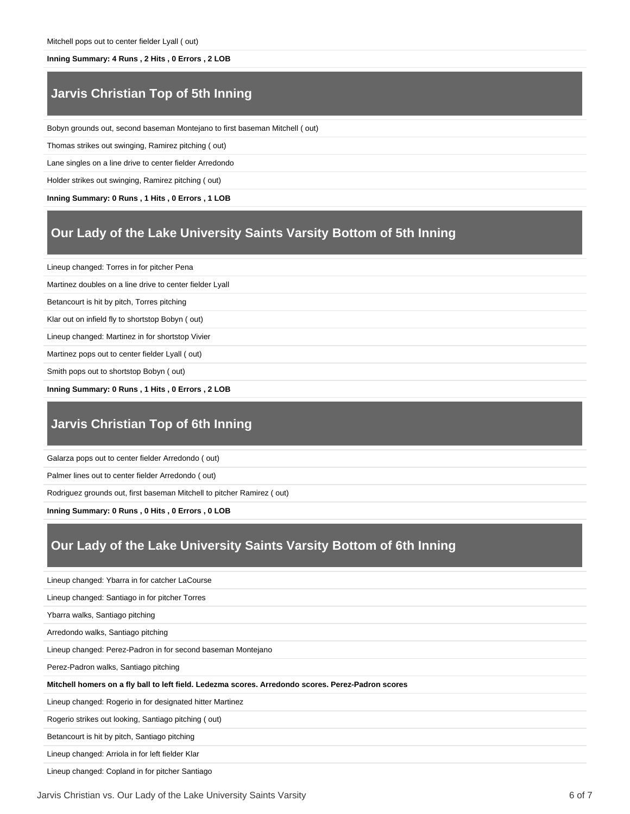#### **Inning Summary: 4 Runs , 2 Hits , 0 Errors , 2 LOB**

### **Jarvis Christian Top of 5th Inning**

Bobyn grounds out, second baseman Montejano to first baseman Mitchell ( out)

Thomas strikes out swinging, Ramirez pitching ( out)

Lane singles on a line drive to center fielder Arredondo

Holder strikes out swinging, Ramirez pitching ( out)

**Inning Summary: 0 Runs , 1 Hits , 0 Errors , 1 LOB**

### **Our Lady of the Lake University Saints Varsity Bottom of 5th Inning**

Lineup changed: Torres in for pitcher Pena

Martinez doubles on a line drive to center fielder Lyall

Betancourt is hit by pitch, Torres pitching

Klar out on infield fly to shortstop Bobyn ( out)

Lineup changed: Martinez in for shortstop Vivier

Martinez pops out to center fielder Lyall ( out)

Smith pops out to shortstop Bobyn ( out)

**Inning Summary: 0 Runs , 1 Hits , 0 Errors , 2 LOB**

#### **Jarvis Christian Top of 6th Inning**

Galarza pops out to center fielder Arredondo ( out)

Palmer lines out to center fielder Arredondo ( out)

Rodriguez grounds out, first baseman Mitchell to pitcher Ramirez ( out)

**Inning Summary: 0 Runs , 0 Hits , 0 Errors , 0 LOB**

#### **Our Lady of the Lake University Saints Varsity Bottom of 6th Inning**

Lineup changed: Ybarra in for catcher LaCourse Lineup changed: Santiago in for pitcher Torres Ybarra walks, Santiago pitching Arredondo walks, Santiago pitching Lineup changed: Perez-Padron in for second baseman Montejano Perez-Padron walks, Santiago pitching **Mitchell homers on a fly ball to left field. Ledezma scores. Arredondo scores. Perez-Padron scores** Lineup changed: Rogerio in for designated hitter Martinez Rogerio strikes out looking, Santiago pitching ( out) Betancourt is hit by pitch, Santiago pitching Lineup changed: Arriola in for left fielder Klar Lineup changed: Copland in for pitcher Santiago